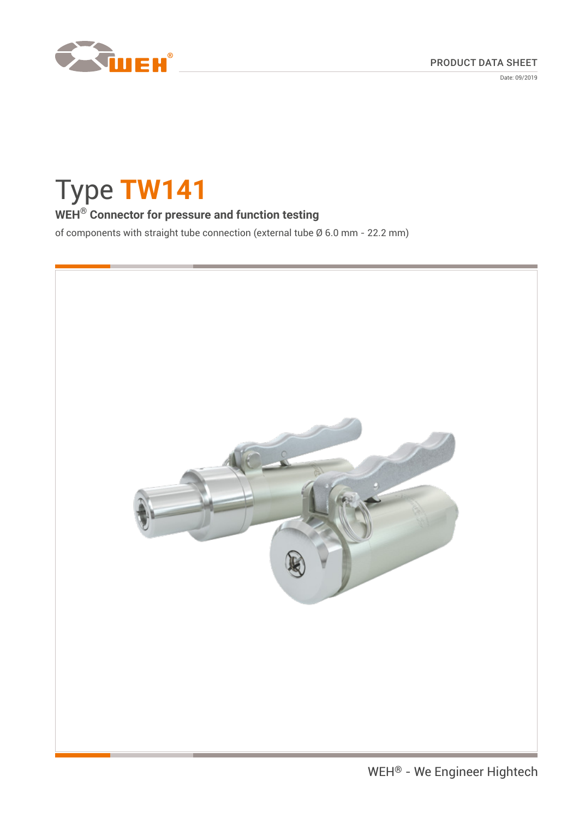

Date: 09/2019

# Type **TW141**

# **WEH® Connector for pressure and function testing**

of components with straight tube connection (external tube Ø 6.0 mm - 22.2 mm)

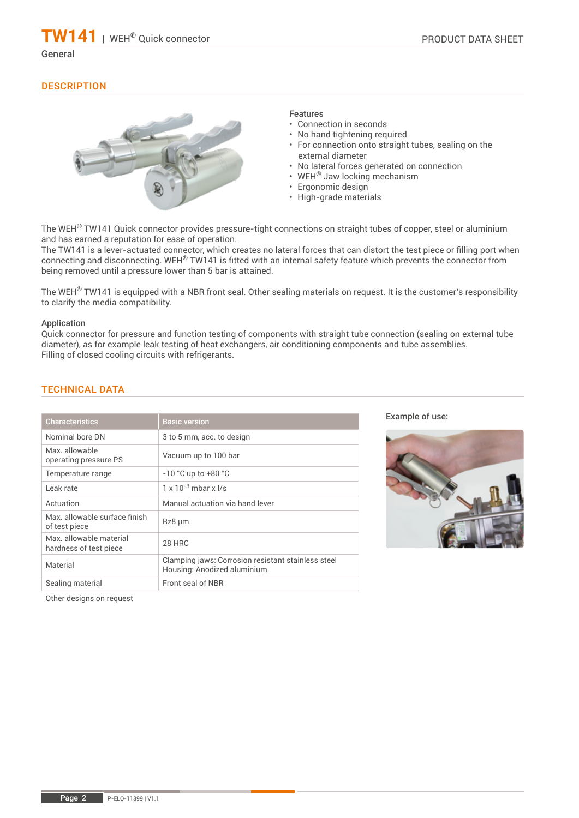# **DESCRIPTION**



### Features

- Connection in seconds
- No hand tightening required
- For connection onto straight tubes, sealing on the external diameter
- No lateral forces generated on connection
- WEH® Jaw locking mechanism
- Ergonomic design
- High-grade materials

The WEH® TW141 Quick connector provides pressure-tight connections on straight tubes of copper, steel or aluminium and has earned a reputation for ease of operation.

The TW141 is a lever-actuated connector, which creates no lateral forces that can distort the test piece or filling port when connecting and disconnecting. WEH® TW141 is fitted with an internal safety feature which prevents the connector from being removed until a pressure lower than 5 bar is attained.

The WEH® TW141 is equipped with a NBR front seal. Other sealing materials on request. It is the customer's responsibility to clarify the media compatibility.

#### Application

Quick connector for pressure and function testing of components with straight tube connection (sealing on external tube diameter), as for example leak testing of heat exchangers, air conditioning components and tube assemblies. Filling of closed cooling circuits with refrigerants.

| <b>Characteristics</b>                            | <b>Basic version</b>                                                              |
|---------------------------------------------------|-----------------------------------------------------------------------------------|
| Nominal bore DN                                   | 3 to 5 mm, acc. to design                                                         |
| Max allowable<br>operating pressure PS            | Vacuum up to 100 bar                                                              |
| Temperature range                                 | $-10$ °C up to $+80$ °C                                                           |
| Leak rate                                         | $1 \times 10^{-3}$ mbar x $1/s$                                                   |
| Actuation                                         | Manual actuation via hand lever                                                   |
| Max allowable surface finish<br>of test piece     | $Rz8 \mu m$                                                                       |
| Max. allowable material<br>hardness of test piece | 28 HRC                                                                            |
| Material                                          | Clamping jaws: Corrosion resistant stainless steel<br>Housing: Anodized aluminium |
| Sealing material                                  | Front seal of NBR                                                                 |

# TECHNICAL DATA

Example of use:



Other designs on request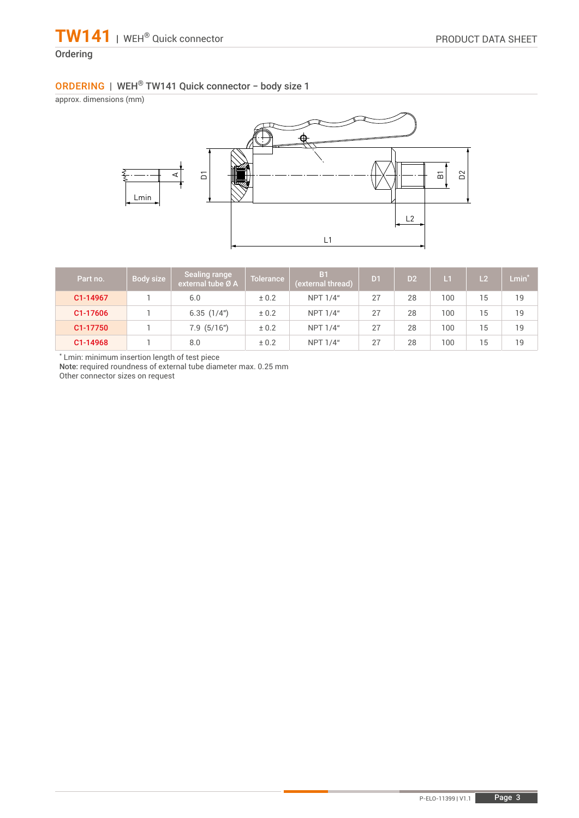# **Ordering**

# ORDERING | WEH® TW141 Quick connector − body size 1

approx. dimensions (mm)



| Part no. | Body size | Sealing range<br>external tube Ø A | <b>Tolerance</b> | B <sub>1</sub><br>(external thread) | D <sub>1</sub> | D2 | $\mathsf{L}$ | L <sub>2</sub> | $Lmin^{\star}$ |
|----------|-----------|------------------------------------|------------------|-------------------------------------|----------------|----|--------------|----------------|----------------|
| C1-14967 |           | 6.0                                | ± 0.2            | NPT 1/4"                            | 27             | 28 | 100          | 15             | 19             |
| C1-17606 |           | 6.35(1/4")                         | ± 0.2            | NPT 1/4"                            | 27             | 28 | 100          | 15             | 19             |
| C1-17750 |           | $7.9$ $(5/16")$                    | ± 0.2            | NPT 1/4"                            | 27             | 28 | 100          | 15             | 19             |
| C1-14968 |           | 8.0                                | ± 0.2            | NPT 1/4"                            | 27             | 28 | 100          | 15             | 19             |

\* Lmin: minimum insertion length of test piece

Note: required roundness of external tube diameter max. 0.25 mm

Other connector sizes on request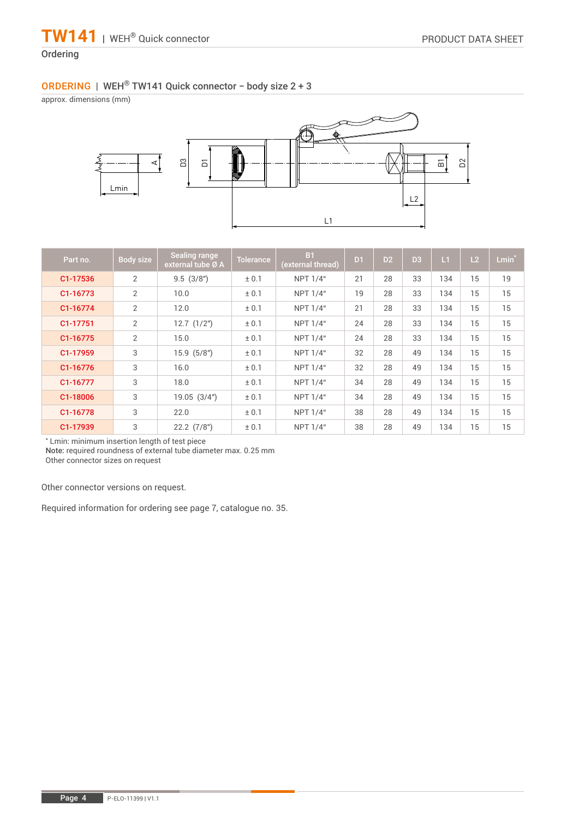# Ordering

# ORDERING | WEH® TW141 Quick connector − body size 2 + 3

approx. dimensions (mm)



| Part no. | Body size      | Sealing range<br>external tube Ø A | Tolerance | <b>B1</b><br>(external thread) | D <sub>1</sub> | D <sub>2</sub> | D <sub>3</sub> | L1  | L2 | $Lmin*$ |
|----------|----------------|------------------------------------|-----------|--------------------------------|----------------|----------------|----------------|-----|----|---------|
| C1-17536 | 2              | 9.5(3/8")                          | ± 0.1     | <b>NPT 1/4"</b>                | 21             | 28             | 33             | 134 | 15 | 19      |
| C1-16773 | 2              | 10.0                               | ± 0.1     | <b>NPT 1/4"</b>                | 19             | 28             | 33             | 134 | 15 | 15      |
| C1-16774 | $\overline{2}$ | 12.0                               | ± 0.1     | <b>NPT 1/4"</b>                | 21             | 28             | 33             | 134 | 15 | 15      |
| C1-17751 | $\overline{2}$ | $12.7$ $(1/2")$                    | ± 0.1     | <b>NPT 1/4"</b>                | 24             | 28             | 33             | 134 | 15 | 15      |
| C1-16775 | $\overline{2}$ | 15.0                               | ± 0.1     | <b>NPT 1/4"</b>                | 24             | 28             | 33             | 134 | 15 | 15      |
| C1-17959 | 3              | 15.9(5/8")                         | ± 0.1     | NPT 1/4"                       | 32             | 28             | 49             | 134 | 15 | 15      |
| C1-16776 | 3              | 16.0                               | ± 0.1     | <b>NPT 1/4"</b>                | 32             | 28             | 49             | 134 | 15 | 15      |
| C1-16777 | 3              | 18.0                               | ± 0.1     | <b>NPT 1/4"</b>                | 34             | 28             | 49             | 134 | 15 | 15      |
| C1-18006 | 3              | 19.05(3/4")                        | ± 0.1     | <b>NPT 1/4"</b>                | 34             | 28             | 49             | 134 | 15 | 15      |
| C1-16778 | 3              | 22.0                               | ± 0.1     | <b>NPT 1/4"</b>                | 38             | 28             | 49             | 134 | 15 | 15      |
| C1-17939 | 3              | $22.2$ $(7/8")$                    | ± 0.1     | NPT 1/4"                       | 38             | 28             | 49             | 134 | 15 | 15      |

\* Lmin: minimum insertion length of test piece

Note: required roundness of external tube diameter max. 0.25 mm

Other connector sizes on request

Other connector versions on request.

Required information for ordering see page 7, catalogue no. 35.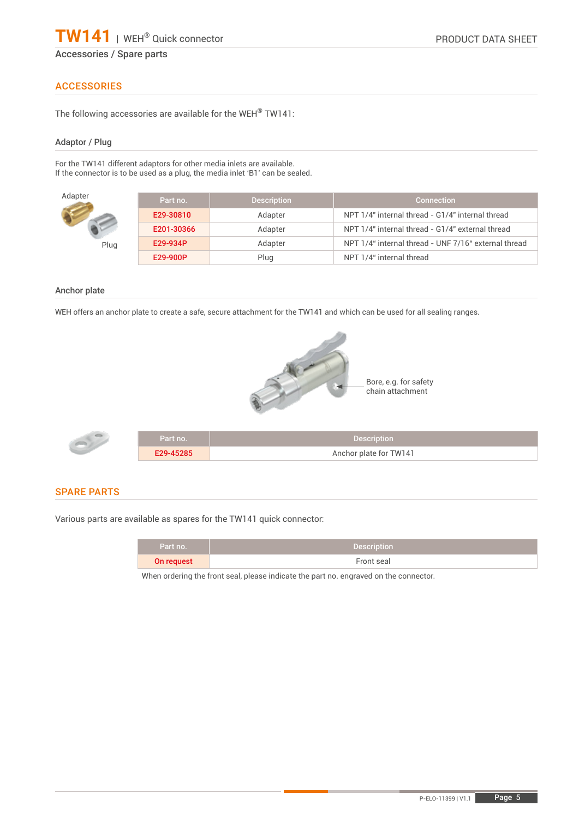# ACCESSORIES

The following accessories are available for the WEH® TW141:

#### Adaptor / Plug

For the TW141 different adaptors for other media inlets are available. If the connector is to be used as a plug, the media inlet 'B1' can be sealed.

| Adapter | Part no.   | <b>Description</b> | <b>Connection</b>                                    |
|---------|------------|--------------------|------------------------------------------------------|
|         | E29-30810  | Adapter            | NPT 1/4" internal thread - G1/4" internal thread     |
|         | E201-30366 | Adapter            | NPT 1/4" internal thread - G1/4" external thread     |
| Plug    | E29-934P   | Adapter            | NPT 1/4" internal thread - UNF 7/16" external thread |
|         | E29-900P   | Plug               | NPT 1/4" internal thread                             |

#### Anchor plate

WEH offers an anchor plate to create a safe, secure attachment for the TW141 and which can be used for all sealing ranges.



| $\Rightarrow$ | Part no. . | Description            |
|---------------|------------|------------------------|
|               | E29-45285  | Anchor plate for TW141 |

#### SPARE PARTS

Various parts are available as spares for the TW141 quick connector:

| Part no.   | <b>Description</b> |
|------------|--------------------|
| On request | Front seal         |

When ordering the front seal, please indicate the part no. engraved on the connector.